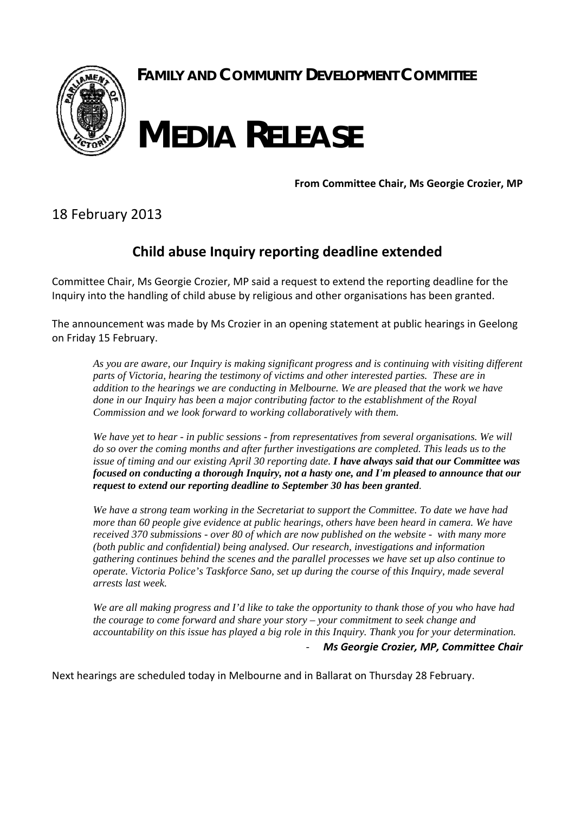

**FAMILY AND COMMUNITY DEVELOPMENT COMMITTEE**

## **MEDIA RELEASE**

**From Committee Chair, Ms Georgie Crozier, MP**

18 February 2013

## **Child abuse Inquiry reporting deadline extended**

Committee Chair, Ms Georgie Crozier, MP said a request to extend the reporting deadline for the Inquiry into the handling of child abuse by religious and other organisations has been granted.

The announcement was made by Ms Crozier in an opening statement at public hearings in Geelong on Friday 15 February.

*As you are aware, our Inquiry is making significant progress and is continuing with visiting different parts of Victoria, hearing the testimony of victims and other interested parties. These are in addition to the hearings we are conducting in Melbourne. We are pleased that the work we have done in our Inquiry has been a major contributing factor to the establishment of the Royal Commission and we look forward to working collaboratively with them.* 

*We have yet to hear - in public sessions - from representatives from several organisations. We will do so over the coming months and after further investigations are completed. This leads us to the issue of timing and our existing April 30 reporting date. I have always said that our Committee was focused on conducting a thorough Inquiry, not a hasty one, and I'm pleased to announce that our request to extend our reporting deadline to September 30 has been granted.* 

*We have a strong team working in the Secretariat to support the Committee. To date we have had more than 60 people give evidence at public hearings, others have been heard in camera. We have received 370 submissions - over 80 of which are now published on the website - with many more (both public and confidential) being analysed. Our research, investigations and information gathering continues behind the scenes and the parallel processes we have set up also continue to operate. Victoria Police's Taskforce Sano, set up during the course of this Inquiry, made several arrests last week.* 

*We are all making progress and I'd like to take the opportunity to thank those of you who have had the courage to come forward and share your story – your commitment to seek change and accountability on this issue has played a big role in this Inquiry. Thank you for your determination.*  ‐ *Ms Georgie Crozier, MP, Committee Chair*

Next hearings are scheduled today in Melbourne and in Ballarat on Thursday 28 February.